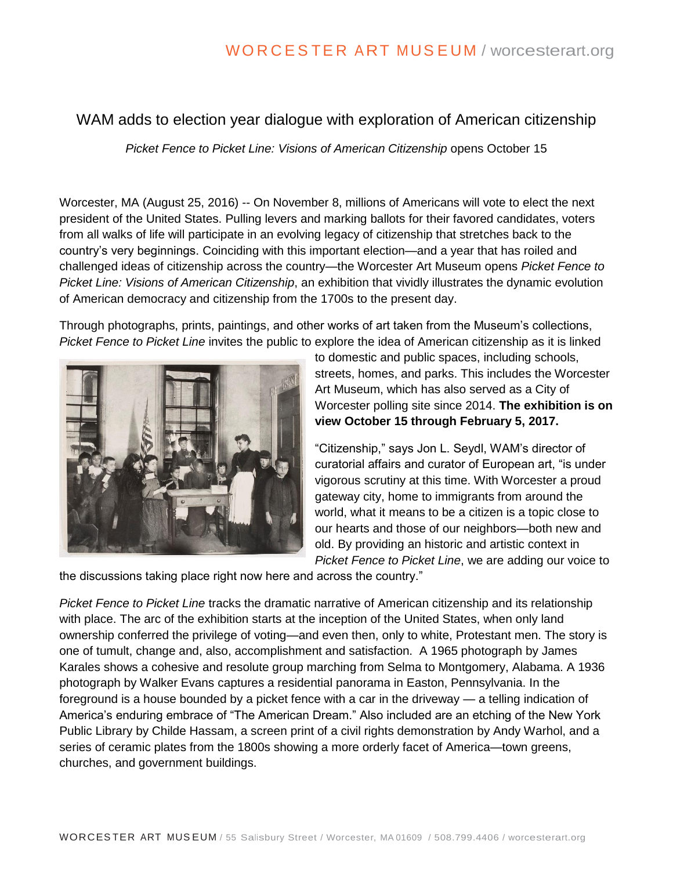# WAM adds to election year dialogue with exploration of American citizenship

*Picket Fence to Picket Line: Visions of American Citizenship* opens October 15

Worcester, MA (August 25, 2016) -- On November 8, millions of Americans will vote to elect the next president of the United States. Pulling levers and marking ballots for their favored candidates, voters from all walks of life will participate in an evolving legacy of citizenship that stretches back to the country's very beginnings. Coinciding with this important election—and a year that has roiled and challenged ideas of citizenship across the country—the Worcester Art Museum opens *Picket Fence to Picket Line: Visions of American Citizenship*, an exhibition that vividly illustrates the dynamic evolution of American democracy and citizenship from the 1700s to the present day.

Through photographs, prints, paintings, and other works of art taken from the Museum's collections, *Picket Fence to Picket Line* invites the public to explore the idea of American citizenship as it is linked



to domestic and public spaces, including schools, streets, homes, and parks. This includes the Worcester Art Museum, which has also served as a City of Worcester polling site since 2014. **The exhibition is on view October 15 through February 5, 2017.**

"Citizenship," says Jon L. Seydl, WAM's director of curatorial affairs and curator of European art, "is under vigorous scrutiny at this time. With Worcester a proud gateway city, home to immigrants from around the world, what it means to be a citizen is a topic close to our hearts and those of our neighbors—both new and old. By providing an historic and artistic context in *Picket Fence to Picket Line*, we are adding our voice to

the discussions taking place right now here and across the country."

*Picket Fence to Picket Line* tracks the dramatic narrative of American citizenship and its relationship with place. The arc of the exhibition starts at the inception of the United States, when only land ownership conferred the privilege of voting—and even then, only to white, Protestant men. The story is one of tumult, change and, also, accomplishment and satisfaction. A 1965 photograph by James Karales shows a cohesive and resolute group marching from Selma to Montgomery, Alabama. A 1936 photograph by Walker Evans captures a residential panorama in Easton, Pennsylvania. In the foreground is a house bounded by a picket fence with a car in the driveway — a telling indication of America's enduring embrace of "The American Dream." Also included are an etching of the New York Public Library by Childe Hassam, a screen print of a civil rights demonstration by Andy Warhol, and a series of ceramic plates from the 1800s showing a more orderly facet of America—town greens, churches, and government buildings.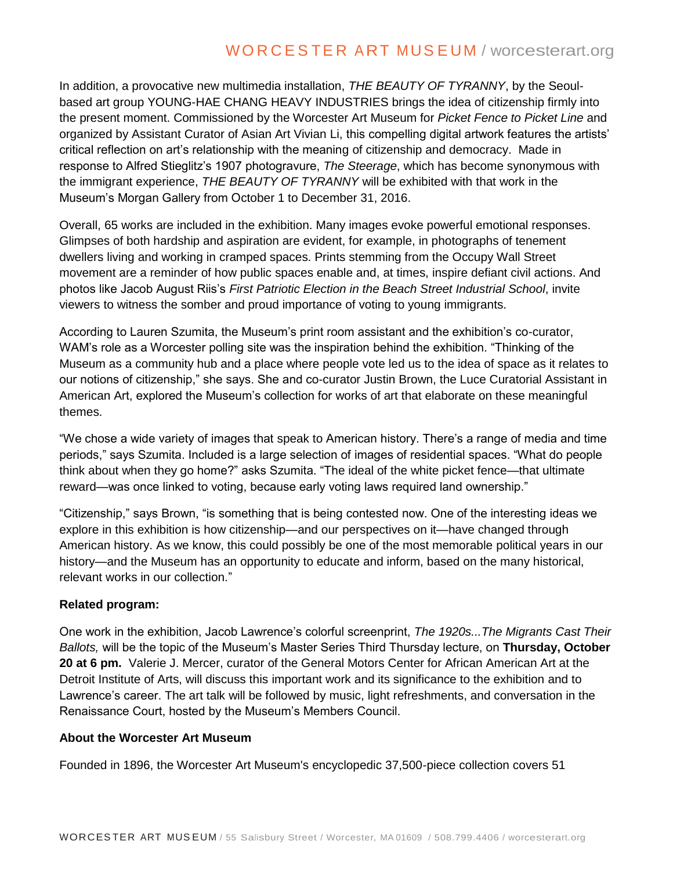In addition, a provocative new multimedia installation, *THE BEAUTY OF TYRANNY*, by the Seoulbased art group YOUNG-HAE CHANG HEAVY INDUSTRIES brings the idea of citizenship firmly into the present moment. Commissioned by the Worcester Art Museum for *Picket Fence to Picket Line* and organized by Assistant Curator of Asian Art Vivian Li, this compelling digital artwork features the artists' critical reflection on art's relationship with the meaning of citizenship and democracy. Made in response to Alfred Stieglitz's 1907 photogravure, *The Steerage*, which has become synonymous with the immigrant experience, *THE BEAUTY OF TYRANNY* will be exhibited with that work in the Museum's Morgan Gallery from October 1 to December 31, 2016.

Overall, 65 works are included in the exhibition. Many images evoke powerful emotional responses. Glimpses of both hardship and aspiration are evident, for example, in photographs of tenement dwellers living and working in cramped spaces. Prints stemming from the Occupy Wall Street movement are a reminder of how public spaces enable and, at times, inspire defiant civil actions. And photos like Jacob August Riis's *First Patriotic Election in the Beach Street Industrial School*, invite viewers to witness the somber and proud importance of voting to young immigrants.

According to Lauren Szumita, the Museum's print room assistant and the exhibition's co-curator, WAM's role as a Worcester polling site was the inspiration behind the exhibition. "Thinking of the Museum as a community hub and a place where people vote led us to the idea of space as it relates to our notions of citizenship," she says. She and co-curator Justin Brown, the Luce Curatorial Assistant in American Art, explored the Museum's collection for works of art that elaborate on these meaningful themes.

"We chose a wide variety of images that speak to American history. There's a range of media and time periods," says Szumita. Included is a large selection of images of residential spaces. "What do people think about when they go home?" asks Szumita. "The ideal of the white picket fence—that ultimate reward—was once linked to voting, because early voting laws required land ownership."

"Citizenship," says Brown, "is something that is being contested now. One of the interesting ideas we explore in this exhibition is how citizenship—and our perspectives on it—have changed through American history. As we know, this could possibly be one of the most memorable political years in our history—and the Museum has an opportunity to educate and inform, based on the many historical, relevant works in our collection."

### **Related program:**

One work in the exhibition, Jacob Lawrence's colorful screenprint, *The 1920s...The Migrants Cast Their Ballots,* will be the topic of the Museum's Master Series Third Thursday lecture, on **Thursday, October 20 at 6 pm.** Valerie J. Mercer, curator of the General Motors Center for African American Art at the Detroit Institute of Arts, will discuss this important work and its significance to the exhibition and to Lawrence's career. The art talk will be followed by music, light refreshments, and conversation in the Renaissance Court, hosted by the Museum's Members Council.

### **About the Worcester Art Museum**

Founded in 1896, the Worcester Art Museum's encyclopedic 37,500-piece collection covers 51